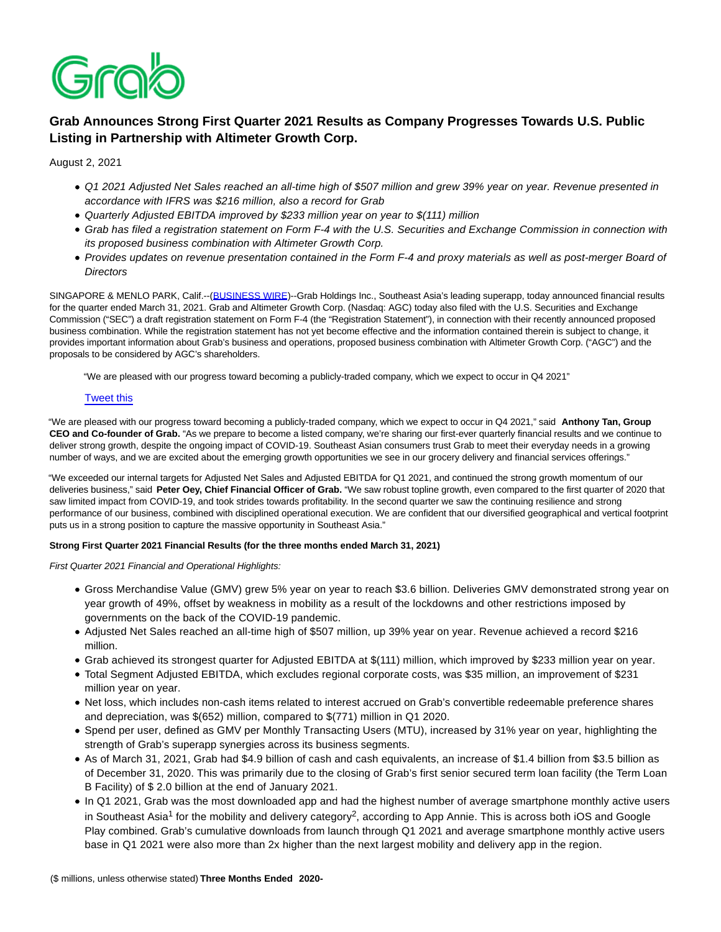

# **Grab Announces Strong First Quarter 2021 Results as Company Progresses Towards U.S. Public Listing in Partnership with Altimeter Growth Corp.**

August 2, 2021

- Q1 2021 Adjusted Net Sales reached an all-time high of \$507 million and grew 39% year on year. Revenue presented in accordance with IFRS was \$216 million, also a record for Grab
- Quarterly Adjusted EBITDA improved by \$233 million year on year to \$(111) million
- Grab has filed a registration statement on Form F-4 with the U.S. Securities and Exchange Commission in connection with its proposed business combination with Altimeter Growth Corp.
- Provides updates on revenue presentation contained in the Form F-4 and proxy materials as well as post-merger Board of **Directors**

SINGAPORE & MENLO PARK, Calif.--[\(BUSINESS WIRE\)-](https://www.businesswire.com/)-Grab Holdings Inc., Southeast Asia's leading superapp, today announced financial results for the quarter ended March 31, 2021. Grab and Altimeter Growth Corp. (Nasdaq: AGC) today also filed with the U.S. Securities and Exchange Commission ("SEC") a draft registration statement on Form F-4 (the "Registration Statement"), in connection with their recently announced proposed business combination. While the registration statement has not yet become effective and the information contained therein is subject to change, it provides important information about Grab's business and operations, proposed business combination with Altimeter Growth Corp. ("AGC") and the proposals to be considered by AGC's shareholders.

"We are pleased with our progress toward becoming a publicly-traded company, which we expect to occur in Q4 2021"

# [Tweet this](https://www.businesswire.com/news/home/20210802005340/en/Grab-Announces-Strong-First-Quarter-2021-Results-as-Company-Progresses-Towards-U.S.-Public-Listing-in-Partnership-with-Altimeter-Growth-Corp#)

"We are pleased with our progress toward becoming a publicly-traded company, which we expect to occur in Q4 2021," said **Anthony Tan, Group CEO and Co-founder of Grab.** "As we prepare to become a listed company, we're sharing our first-ever quarterly financial results and we continue to deliver strong growth, despite the ongoing impact of COVID-19. Southeast Asian consumers trust Grab to meet their everyday needs in a growing number of ways, and we are excited about the emerging growth opportunities we see in our grocery delivery and financial services offerings."

"We exceeded our internal targets for Adjusted Net Sales and Adjusted EBITDA for Q1 2021, and continued the strong growth momentum of our deliveries business," said **Peter Oey, Chief Financial Officer of Grab.** "We saw robust topline growth, even compared to the first quarter of 2020 that saw limited impact from COVID-19, and took strides towards profitability. In the second quarter we saw the continuing resilience and strong performance of our business, combined with disciplined operational execution. We are confident that our diversified geographical and vertical footprint puts us in a strong position to capture the massive opportunity in Southeast Asia."

# **Strong First Quarter 2021 Financial Results (for the three months ended March 31, 2021)**

First Quarter 2021 Financial and Operational Highlights:

- Gross Merchandise Value (GMV) grew 5% year on year to reach \$3.6 billion. Deliveries GMV demonstrated strong year on year growth of 49%, offset by weakness in mobility as a result of the lockdowns and other restrictions imposed by governments on the back of the COVID-19 pandemic.
- Adjusted Net Sales reached an all-time high of \$507 million, up 39% year on year. Revenue achieved a record \$216 million.
- Grab achieved its strongest quarter for Adjusted EBITDA at \$(111) million, which improved by \$233 million year on year.
- Total Segment Adjusted EBITDA, which excludes regional corporate costs, was \$35 million, an improvement of \$231 million year on year.
- Net loss, which includes non-cash items related to interest accrued on Grab's convertible redeemable preference shares and depreciation, was \$(652) million, compared to \$(771) million in Q1 2020.
- Spend per user, defined as GMV per Monthly Transacting Users (MTU), increased by 31% year on year, highlighting the strength of Grab's superapp synergies across its business segments.
- As of March 31, 2021, Grab had \$4.9 billion of cash and cash equivalents, an increase of \$1.4 billion from \$3.5 billion as of December 31, 2020. This was primarily due to the closing of Grab's first senior secured term loan facility (the Term Loan B Facility) of \$ 2.0 billion at the end of January 2021.
- In Q1 2021, Grab was the most downloaded app and had the highest number of average smartphone monthly active users in Southeast Asia<sup>1</sup> for the mobility and delivery category<sup>2</sup>, according to App Annie. This is across both iOS and Google Play combined. Grab's cumulative downloads from launch through Q1 2021 and average smartphone monthly active users base in Q1 2021 were also more than 2x higher than the next largest mobility and delivery app in the region.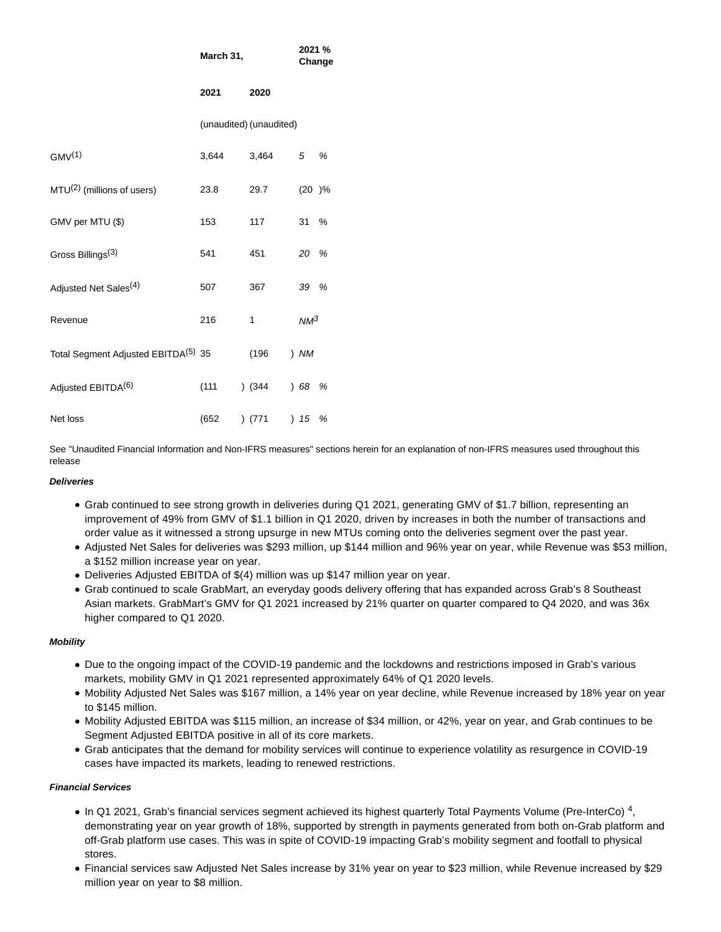|                                                 | March 31,               |        | 2021 %<br>Change |   |
|-------------------------------------------------|-------------------------|--------|------------------|---|
|                                                 | 2021                    | 2020   |                  |   |
|                                                 | (unaudited) (unaudited) |        |                  |   |
| GMV <sup>(1)</sup>                              | 3,644                   | 3,464  | 5                | % |
| $MTU(2)$ (millions of users)                    | 23.8                    | 29.7   | (20)%            |   |
| GMV per MTU (\$)                                | 153                     | 117    | 31               | % |
| Gross Billings <sup>(3)</sup>                   | 541                     | 451    | 20 %             |   |
| Adjusted Net Sales <sup>(4)</sup>               | 507                     | 367    | 39 %             |   |
| Revenue                                         | 216                     | 1      | $NM^3$           |   |
| Total Segment Adjusted EBITDA <sup>(5)</sup> 35 |                         | (196)  | $)$ NM           |   |
| Adjusted EBITDA <sup>(6)</sup>                  | (111)                   | (344)  | 68               | % |
| Net loss                                        | (652)                   | ) (771 | ) 15             | % |

See "Unaudited Financial Information and Non-IFRS measures" sections herein for an explanation of non-IFRS measures used throughout this release

# **Deliveries**

- Grab continued to see strong growth in deliveries during Q1 2021, generating GMV of \$1.7 billion, representing an improvement of 49% from GMV of \$1.1 billion in Q1 2020, driven by increases in both the number of transactions and order value as it witnessed a strong upsurge in new MTUs coming onto the deliveries segment over the past year.
- Adjusted Net Sales for deliveries was \$293 million, up \$144 million and 96% year on year, while Revenue was \$53 million, a \$152 million increase year on year.
- Deliveries Adjusted EBITDA of \$(4) million was up \$147 million year on year.
- Grab continued to scale GrabMart, an everyday goods delivery offering that has expanded across Grab's 8 Southeast Asian markets. GrabMart's GMV for Q1 2021 increased by 21% quarter on quarter compared to Q4 2020, and was 36x higher compared to Q1 2020.

# **Mobility**

- Due to the ongoing impact of the COVID-19 pandemic and the lockdowns and restrictions imposed in Grab's various markets, mobility GMV in Q1 2021 represented approximately 64% of Q1 2020 levels.
- Mobility Adjusted Net Sales was \$167 million, a 14% year on year decline, while Revenue increased by 18% year on year to \$145 million.
- Mobility Adjusted EBITDA was \$115 million, an increase of \$34 million, or 42%, year on year, and Grab continues to be Segment Adjusted EBITDA positive in all of its core markets.
- Grab anticipates that the demand for mobility services will continue to experience volatility as resurgence in COVID-19 cases have impacted its markets, leading to renewed restrictions.

# **Financial Services**

- In Q1 2021, Grab's financial services segment achieved its highest quarterly Total Payments Volume (Pre-InterCo)<sup>4</sup>, demonstrating year on year growth of 18%, supported by strength in payments generated from both on-Grab platform and off-Grab platform use cases. This was in spite of COVID-19 impacting Grab's mobility segment and footfall to physical stores.
- Financial services saw Adjusted Net Sales increase by 31% year on year to \$23 million, while Revenue increased by \$29 million year on year to \$8 million.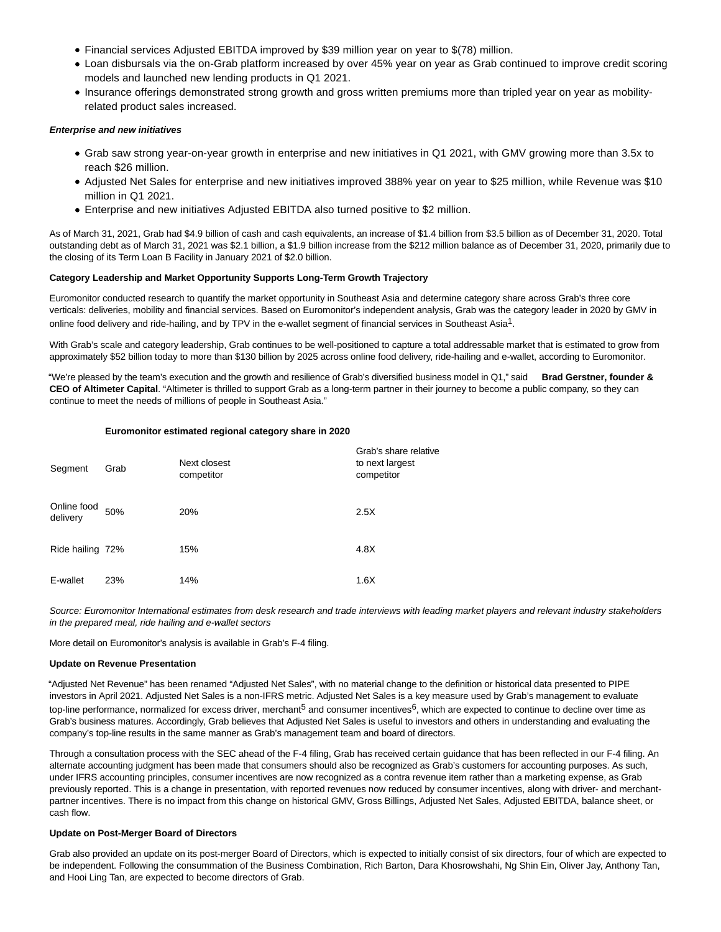- Financial services Adjusted EBITDA improved by \$39 million year on year to \$(78) million.
- Loan disbursals via the on-Grab platform increased by over 45% year on year as Grab continued to improve credit scoring models and launched new lending products in Q1 2021.
- Insurance offerings demonstrated strong growth and gross written premiums more than tripled year on year as mobilityrelated product sales increased.

### **Enterprise and new initiatives**

- Grab saw strong year-on-year growth in enterprise and new initiatives in Q1 2021, with GMV growing more than 3.5x to reach \$26 million.
- Adjusted Net Sales for enterprise and new initiatives improved 388% year on year to \$25 million, while Revenue was \$10 million in Q1 2021.
- Enterprise and new initiatives Adjusted EBITDA also turned positive to \$2 million.

As of March 31, 2021, Grab had \$4.9 billion of cash and cash equivalents, an increase of \$1.4 billion from \$3.5 billion as of December 31, 2020. Total outstanding debt as of March 31, 2021 was \$2.1 billion, a \$1.9 billion increase from the \$212 million balance as of December 31, 2020, primarily due to the closing of its Term Loan B Facility in January 2021 of \$2.0 billion.

# **Category Leadership and Market Opportunity Supports Long-Term Growth Trajectory**

Euromonitor conducted research to quantify the market opportunity in Southeast Asia and determine category share across Grab's three core verticals: deliveries, mobility and financial services. Based on Euromonitor's independent analysis, Grab was the category leader in 2020 by GMV in online food delivery and ride-hailing, and by TPV in the e-wallet segment of financial services in Southeast Asia<sup>1</sup>.

With Grab's scale and category leadership, Grab continues to be well-positioned to capture a total addressable market that is estimated to grow from approximately \$52 billion today to more than \$130 billion by 2025 across online food delivery, ride-hailing and e-wallet, according to Euromonitor.

"We're pleased by the team's execution and the growth and resilience of Grab's diversified business model in Q1," said **Brad Gerstner, founder & CEO of Altimeter Capital**. "Altimeter is thrilled to support Grab as a long-term partner in their journey to become a public company, so they can continue to meet the needs of millions of people in Southeast Asia."

#### **Euromonitor estimated regional category share in 2020**

| Segment                 | Grab | Next closest<br>competitor | Grab's share relative<br>to next largest<br>competitor |
|-------------------------|------|----------------------------|--------------------------------------------------------|
| Online food<br>delivery | 50%  | 20%                        | 2.5X                                                   |
| Ride hailing 72%        |      | 15%                        | 4.8X                                                   |
| E-wallet                | 23%  | 14%                        | 1.6X                                                   |

Source: Euromonitor International estimates from desk research and trade interviews with leading market players and relevant industry stakeholders in the prepared meal, ride hailing and e-wallet sectors

More detail on Euromonitor's analysis is available in Grab's F-4 filing.

#### **Update on Revenue Presentation**

"Adjusted Net Revenue" has been renamed "Adjusted Net Sales", with no material change to the definition or historical data presented to PIPE investors in April 2021. Adjusted Net Sales is a non-IFRS metric. Adjusted Net Sales is a key measure used by Grab's management to evaluate top-line performance, normalized for excess driver, merchant<sup>5</sup> and consumer incentives<sup>6</sup>, which are expected to continue to decline over time as Grab's business matures. Accordingly, Grab believes that Adjusted Net Sales is useful to investors and others in understanding and evaluating the company's top-line results in the same manner as Grab's management team and board of directors.

Through a consultation process with the SEC ahead of the F-4 filing, Grab has received certain guidance that has been reflected in our F-4 filing. An alternate accounting judgment has been made that consumers should also be recognized as Grab's customers for accounting purposes. As such, under IFRS accounting principles, consumer incentives are now recognized as a contra revenue item rather than a marketing expense, as Grab previously reported. This is a change in presentation, with reported revenues now reduced by consumer incentives, along with driver- and merchantpartner incentives. There is no impact from this change on historical GMV, Gross Billings, Adjusted Net Sales, Adjusted EBITDA, balance sheet, or cash flow.

# **Update on Post-Merger Board of Directors**

Grab also provided an update on its post-merger Board of Directors, which is expected to initially consist of six directors, four of which are expected to be independent. Following the consummation of the Business Combination, Rich Barton, Dara Khosrowshahi, Ng Shin Ein, Oliver Jay, Anthony Tan, and Hooi Ling Tan, are expected to become directors of Grab.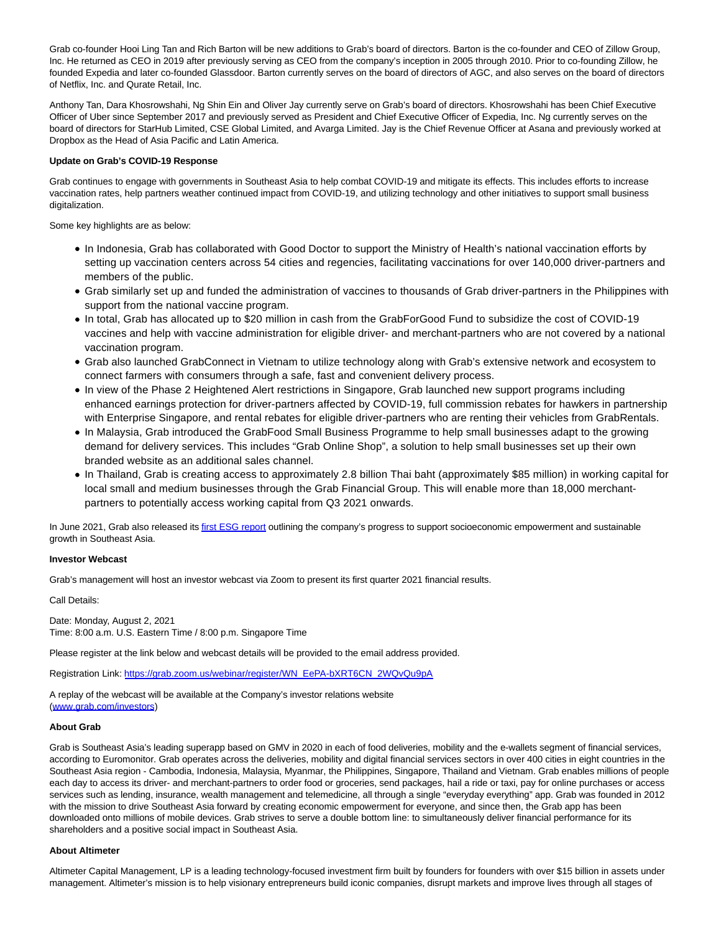Grab co-founder Hooi Ling Tan and Rich Barton will be new additions to Grab's board of directors. Barton is the co-founder and CEO of Zillow Group, Inc. He returned as CEO in 2019 after previously serving as CEO from the company's inception in 2005 through 2010. Prior to co-founding Zillow, he founded Expedia and later co-founded Glassdoor. Barton currently serves on the board of directors of AGC, and also serves on the board of directors of Netflix, Inc. and Qurate Retail, Inc.

Anthony Tan, Dara Khosrowshahi, Ng Shin Ein and Oliver Jay currently serve on Grab's board of directors. Khosrowshahi has been Chief Executive Officer of Uber since September 2017 and previously served as President and Chief Executive Officer of Expedia, Inc. Ng currently serves on the board of directors for StarHub Limited, CSE Global Limited, and Avarga Limited. Jay is the Chief Revenue Officer at Asana and previously worked at Dropbox as the Head of Asia Pacific and Latin America.

### **Update on Grab's COVID-19 Response**

Grab continues to engage with governments in Southeast Asia to help combat COVID-19 and mitigate its effects. This includes efforts to increase vaccination rates, help partners weather continued impact from COVID-19, and utilizing technology and other initiatives to support small business digitalization.

Some key highlights are as below:

- In Indonesia, Grab has collaborated with Good Doctor to support the Ministry of Health's national vaccination efforts by setting up vaccination centers across 54 cities and regencies, facilitating vaccinations for over 140,000 driver-partners and members of the public.
- Grab similarly set up and funded the administration of vaccines to thousands of Grab driver-partners in the Philippines with support from the national vaccine program.
- In total, Grab has allocated up to \$20 million in cash from the GrabForGood Fund to subsidize the cost of COVID-19 vaccines and help with vaccine administration for eligible driver- and merchant-partners who are not covered by a national vaccination program.
- Grab also launched GrabConnect in Vietnam to utilize technology along with Grab's extensive network and ecosystem to connect farmers with consumers through a safe, fast and convenient delivery process.
- In view of the Phase 2 Heightened Alert restrictions in Singapore, Grab launched new support programs including enhanced earnings protection for driver-partners affected by COVID-19, full commission rebates for hawkers in partnership with Enterprise Singapore, and rental rebates for eligible driver-partners who are renting their vehicles from GrabRentals.
- In Malaysia, Grab introduced the GrabFood Small Business Programme to help small businesses adapt to the growing demand for delivery services. This includes "Grab Online Shop", a solution to help small businesses set up their own branded website as an additional sales channel.
- In Thailand, Grab is creating access to approximately 2.8 billion Thai baht (approximately \$85 million) in working capital for local small and medium businesses through the Grab Financial Group. This will enable more than 18,000 merchantpartners to potentially access working capital from Q3 2021 onwards.

In June 2021, Grab also released its *first ESG report* outlining the company's progress to support socioeconomic empowerment and sustainable growth in Southeast Asia.

#### **Investor Webcast**

Grab's management will host an investor webcast via Zoom to present its first quarter 2021 financial results.

Call Details:

Date: Monday, August 2, 2021 Time: 8:00 a.m. U.S. Eastern Time / 8:00 p.m. Singapore Time

Please register at the link below and webcast details will be provided to the email address provided.

Registration Link: [https://grab.zoom.us/webinar/register/WN\\_EePA-bXRT6CN\\_2WQvQu9pA](https://cts.businesswire.com/ct/CT?id=smartlink&url=https%3A%2F%2Fgrab.zoom.us%2Fwebinar%2Fregister%2FWN_EePA-bXRT6CN_2WQvQu9pA&esheet=52469681&newsitemid=20210802005340&lan=en-US&anchor=https%3A%2F%2Fgrab.zoom.us%2Fwebinar%2Fregister%2FWN_EePA-bXRT6CN_2WQvQu9pA&index=2&md5=960a62c9c4278093a902e457b165765a)

A replay of the webcast will be available at the Company's investor relations website [\(www.grab.com/investors\)](https://cts.businesswire.com/ct/CT?id=smartlink&url=http%3A%2F%2Fwww.grab.com%2Finvestors&esheet=52469681&newsitemid=20210802005340&lan=en-US&anchor=www.grab.com%2Finvestors&index=3&md5=7a423efc380ec7275765e768453b3314)

#### **About Grab**

Grab is Southeast Asia's leading superapp based on GMV in 2020 in each of food deliveries, mobility and the e-wallets segment of financial services, according to Euromonitor. Grab operates across the deliveries, mobility and digital financial services sectors in over 400 cities in eight countries in the Southeast Asia region - Cambodia, Indonesia, Malaysia, Myanmar, the Philippines, Singapore, Thailand and Vietnam. Grab enables millions of people each day to access its driver- and merchant-partners to order food or groceries, send packages, hail a ride or taxi, pay for online purchases or access services such as lending, insurance, wealth management and telemedicine, all through a single "everyday everything" app. Grab was founded in 2012 with the mission to drive Southeast Asia forward by creating economic empowerment for everyone, and since then, the Grab app has been downloaded onto millions of mobile devices. Grab strives to serve a double bottom line: to simultaneously deliver financial performance for its shareholders and a positive social impact in Southeast Asia.

#### **About Altimeter**

Altimeter Capital Management, LP is a leading technology-focused investment firm built by founders for founders with over \$15 billion in assets under management. Altimeter's mission is to help visionary entrepreneurs build iconic companies, disrupt markets and improve lives through all stages of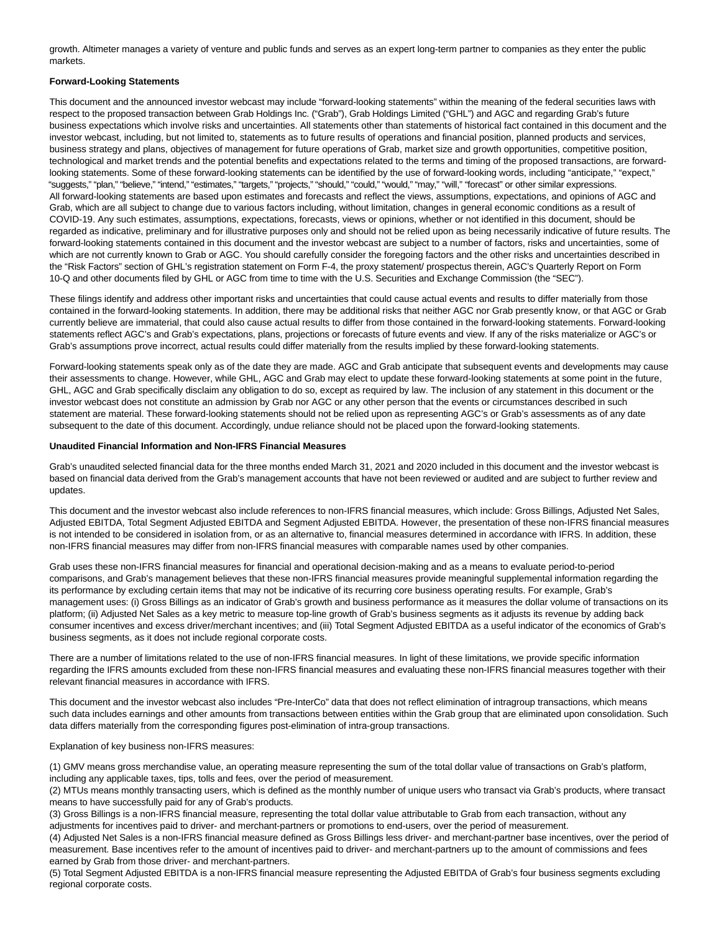growth. Altimeter manages a variety of venture and public funds and serves as an expert long-term partner to companies as they enter the public markets.

### **Forward-Looking Statements**

This document and the announced investor webcast may include "forward-looking statements" within the meaning of the federal securities laws with respect to the proposed transaction between Grab Holdings Inc. ("Grab"), Grab Holdings Limited ("GHL") and AGC and regarding Grab's future business expectations which involve risks and uncertainties. All statements other than statements of historical fact contained in this document and the investor webcast, including, but not limited to, statements as to future results of operations and financial position, planned products and services, business strategy and plans, objectives of management for future operations of Grab, market size and growth opportunities, competitive position, technological and market trends and the potential benefits and expectations related to the terms and timing of the proposed transactions, are forwardlooking statements. Some of these forward-looking statements can be identified by the use of forward-looking words, including "anticipate," "expect," "suggests," "plan," "believe," "intend," "estimates," "targets," "projects," "should," "could," "would," "may," "will," "forecast" or other similar expressions. All forward-looking statements are based upon estimates and forecasts and reflect the views, assumptions, expectations, and opinions of AGC and Grab, which are all subject to change due to various factors including, without limitation, changes in general economic conditions as a result of COVID-19. Any such estimates, assumptions, expectations, forecasts, views or opinions, whether or not identified in this document, should be regarded as indicative, preliminary and for illustrative purposes only and should not be relied upon as being necessarily indicative of future results. The forward-looking statements contained in this document and the investor webcast are subject to a number of factors, risks and uncertainties, some of which are not currently known to Grab or AGC. You should carefully consider the foregoing factors and the other risks and uncertainties described in the "Risk Factors" section of GHL's registration statement on Form F-4, the proxy statement/ prospectus therein, AGC's Quarterly Report on Form 10-Q and other documents filed by GHL or AGC from time to time with the U.S. Securities and Exchange Commission (the "SEC").

These filings identify and address other important risks and uncertainties that could cause actual events and results to differ materially from those contained in the forward-looking statements. In addition, there may be additional risks that neither AGC nor Grab presently know, or that AGC or Grab currently believe are immaterial, that could also cause actual results to differ from those contained in the forward-looking statements. Forward-looking statements reflect AGC's and Grab's expectations, plans, projections or forecasts of future events and view. If any of the risks materialize or AGC's or Grab's assumptions prove incorrect, actual results could differ materially from the results implied by these forward-looking statements.

Forward-looking statements speak only as of the date they are made. AGC and Grab anticipate that subsequent events and developments may cause their assessments to change. However, while GHL, AGC and Grab may elect to update these forward-looking statements at some point in the future, GHL, AGC and Grab specifically disclaim any obligation to do so, except as required by law. The inclusion of any statement in this document or the investor webcast does not constitute an admission by Grab nor AGC or any other person that the events or circumstances described in such statement are material. These forward-looking statements should not be relied upon as representing AGC's or Grab's assessments as of any date subsequent to the date of this document. Accordingly, undue reliance should not be placed upon the forward-looking statements.

#### **Unaudited Financial Information and Non-IFRS Financial Measures**

Grab's unaudited selected financial data for the three months ended March 31, 2021 and 2020 included in this document and the investor webcast is based on financial data derived from the Grab's management accounts that have not been reviewed or audited and are subject to further review and updates.

This document and the investor webcast also include references to non-IFRS financial measures, which include: Gross Billings, Adjusted Net Sales, Adjusted EBITDA, Total Segment Adjusted EBITDA and Segment Adjusted EBITDA. However, the presentation of these non-IFRS financial measures is not intended to be considered in isolation from, or as an alternative to, financial measures determined in accordance with IFRS. In addition, these non-IFRS financial measures may differ from non-IFRS financial measures with comparable names used by other companies.

Grab uses these non-IFRS financial measures for financial and operational decision-making and as a means to evaluate period-to-period comparisons, and Grab's management believes that these non-IFRS financial measures provide meaningful supplemental information regarding the its performance by excluding certain items that may not be indicative of its recurring core business operating results. For example, Grab's management uses: (i) Gross Billings as an indicator of Grab's growth and business performance as it measures the dollar volume of transactions on its platform; (ii) Adjusted Net Sales as a key metric to measure top-line growth of Grab's business segments as it adjusts its revenue by adding back consumer incentives and excess driver/merchant incentives; and (iii) Total Segment Adjusted EBITDA as a useful indicator of the economics of Grab's business segments, as it does not include regional corporate costs.

There are a number of limitations related to the use of non-IFRS financial measures. In light of these limitations, we provide specific information regarding the IFRS amounts excluded from these non-IFRS financial measures and evaluating these non-IFRS financial measures together with their relevant financial measures in accordance with IFRS.

This document and the investor webcast also includes "Pre-InterCo" data that does not reflect elimination of intragroup transactions, which means such data includes earnings and other amounts from transactions between entities within the Grab group that are eliminated upon consolidation. Such data differs materially from the corresponding figures post-elimination of intra-group transactions.

Explanation of key business non-IFRS measures:

(1) GMV means gross merchandise value, an operating measure representing the sum of the total dollar value of transactions on Grab's platform, including any applicable taxes, tips, tolls and fees, over the period of measurement.

(2) MTUs means monthly transacting users, which is defined as the monthly number of unique users who transact via Grab's products, where transact means to have successfully paid for any of Grab's products.

(3) Gross Billings is a non-IFRS financial measure, representing the total dollar value attributable to Grab from each transaction, without any adjustments for incentives paid to driver- and merchant-partners or promotions to end-users, over the period of measurement.

(4) Adjusted Net Sales is a non-IFRS financial measure defined as Gross Billings less driver- and merchant-partner base incentives, over the period of measurement. Base incentives refer to the amount of incentives paid to driver- and merchant-partners up to the amount of commissions and fees earned by Grab from those driver- and merchant-partners.

(5) Total Segment Adjusted EBITDA is a non-IFRS financial measure representing the Adjusted EBITDA of Grab's four business segments excluding regional corporate costs.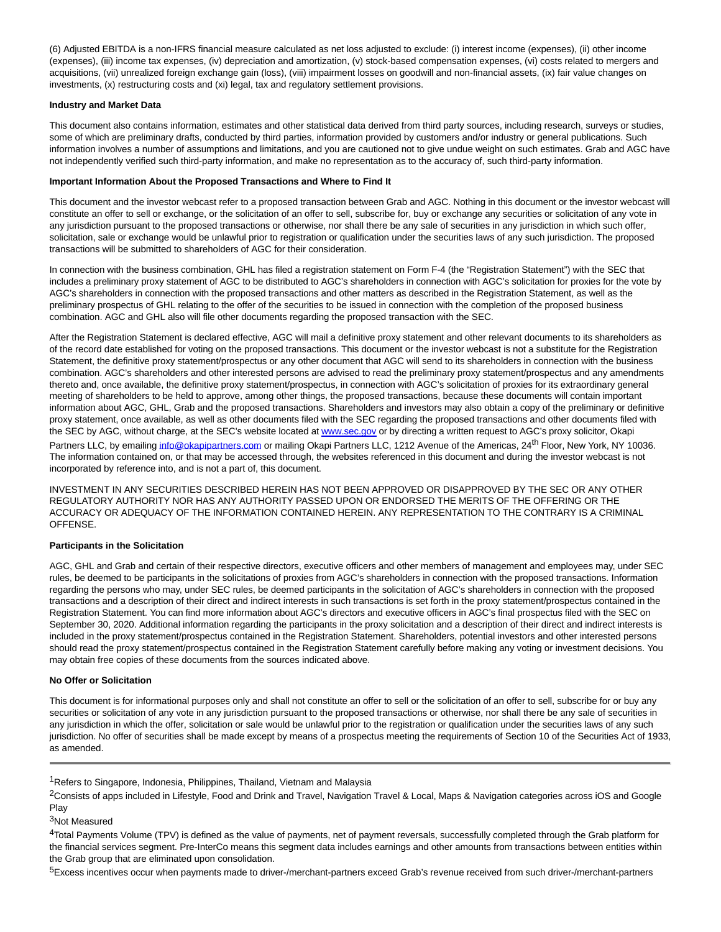(6) Adjusted EBITDA is a non-IFRS financial measure calculated as net loss adjusted to exclude: (i) interest income (expenses), (ii) other income (expenses), (iii) income tax expenses, (iv) depreciation and amortization, (v) stock-based compensation expenses, (vi) costs related to mergers and acquisitions, (vii) unrealized foreign exchange gain (loss), (viii) impairment losses on goodwill and non-financial assets, (ix) fair value changes on investments, (x) restructuring costs and (xi) legal, tax and regulatory settlement provisions.

# **Industry and Market Data**

This document also contains information, estimates and other statistical data derived from third party sources, including research, surveys or studies, some of which are preliminary drafts, conducted by third parties, information provided by customers and/or industry or general publications. Such information involves a number of assumptions and limitations, and you are cautioned not to give undue weight on such estimates. Grab and AGC have not independently verified such third-party information, and make no representation as to the accuracy of, such third-party information.

# **Important Information About the Proposed Transactions and Where to Find It**

This document and the investor webcast refer to a proposed transaction between Grab and AGC. Nothing in this document or the investor webcast will constitute an offer to sell or exchange, or the solicitation of an offer to sell, subscribe for, buy or exchange any securities or solicitation of any vote in any jurisdiction pursuant to the proposed transactions or otherwise, nor shall there be any sale of securities in any jurisdiction in which such offer, solicitation, sale or exchange would be unlawful prior to registration or qualification under the securities laws of any such jurisdiction. The proposed transactions will be submitted to shareholders of AGC for their consideration.

In connection with the business combination, GHL has filed a registration statement on Form F-4 (the "Registration Statement") with the SEC that includes a preliminary proxy statement of AGC to be distributed to AGC's shareholders in connection with AGC's solicitation for proxies for the vote by AGC's shareholders in connection with the proposed transactions and other matters as described in the Registration Statement, as well as the preliminary prospectus of GHL relating to the offer of the securities to be issued in connection with the completion of the proposed business combination. AGC and GHL also will file other documents regarding the proposed transaction with the SEC.

After the Registration Statement is declared effective, AGC will mail a definitive proxy statement and other relevant documents to its shareholders as of the record date established for voting on the proposed transactions. This document or the investor webcast is not a substitute for the Registration Statement, the definitive proxy statement/prospectus or any other document that AGC will send to its shareholders in connection with the business combination. AGC's shareholders and other interested persons are advised to read the preliminary proxy statement/prospectus and any amendments thereto and, once available, the definitive proxy statement/prospectus, in connection with AGC's solicitation of proxies for its extraordinary general meeting of shareholders to be held to approve, among other things, the proposed transactions, because these documents will contain important information about AGC, GHL, Grab and the proposed transactions. Shareholders and investors may also obtain a copy of the preliminary or definitive proxy statement, once available, as well as other documents filed with the SEC regarding the proposed transactions and other documents filed with the SEC by AGC, without charge, at the SEC's website located at **www.sec.gov** or by directing a written request to AGC's proxy solicitor, Okapi Partners LLC, by emailin[g info@okapipartners.com o](mailto:info@okapipartners.com)r mailing Okapi Partners LLC, 1212 Avenue of the Americas, 24<sup>th</sup> Floor, New York, NY 10036. The information contained on, or that may be accessed through, the websites referenced in this document and during the investor webcast is not incorporated by reference into, and is not a part of, this document.

INVESTMENT IN ANY SECURITIES DESCRIBED HEREIN HAS NOT BEEN APPROVED OR DISAPPROVED BY THE SEC OR ANY OTHER REGULATORY AUTHORITY NOR HAS ANY AUTHORITY PASSED UPON OR ENDORSED THE MERITS OF THE OFFERING OR THE ACCURACY OR ADEQUACY OF THE INFORMATION CONTAINED HEREIN. ANY REPRESENTATION TO THE CONTRARY IS A CRIMINAL OFFENSE.

# **Participants in the Solicitation**

AGC, GHL and Grab and certain of their respective directors, executive officers and other members of management and employees may, under SEC rules, be deemed to be participants in the solicitations of proxies from AGC's shareholders in connection with the proposed transactions. Information regarding the persons who may, under SEC rules, be deemed participants in the solicitation of AGC's shareholders in connection with the proposed transactions and a description of their direct and indirect interests in such transactions is set forth in the proxy statement/prospectus contained in the Registration Statement. You can find more information about AGC's directors and executive officers in AGC's final prospectus filed with the SEC on September 30, 2020. Additional information regarding the participants in the proxy solicitation and a description of their direct and indirect interests is included in the proxy statement/prospectus contained in the Registration Statement. Shareholders, potential investors and other interested persons should read the proxy statement/prospectus contained in the Registration Statement carefully before making any voting or investment decisions. You may obtain free copies of these documents from the sources indicated above.

# **No Offer or Solicitation**

This document is for informational purposes only and shall not constitute an offer to sell or the solicitation of an offer to sell, subscribe for or buy any securities or solicitation of any vote in any jurisdiction pursuant to the proposed transactions or otherwise, nor shall there be any sale of securities in any jurisdiction in which the offer, solicitation or sale would be unlawful prior to the registration or qualification under the securities laws of any such jurisdiction. No offer of securities shall be made except by means of a prospectus meeting the requirements of Section 10 of the Securities Act of 1933, as amended.

<sup>1</sup>Refers to Singapore, Indonesia, Philippines, Thailand, Vietnam and Malaysia

<sup>2</sup>Consists of apps included in Lifestyle, Food and Drink and Travel, Navigation Travel & Local, Maps & Navigation categories across iOS and Google Play

# 3Not Measured

4Total Payments Volume (TPV) is defined as the value of payments, net of payment reversals, successfully completed through the Grab platform for the financial services segment. Pre-InterCo means this segment data includes earnings and other amounts from transactions between entities within the Grab group that are eliminated upon consolidation.

5Excess incentives occur when payments made to driver-/merchant-partners exceed Grab's revenue received from such driver-/merchant-partners